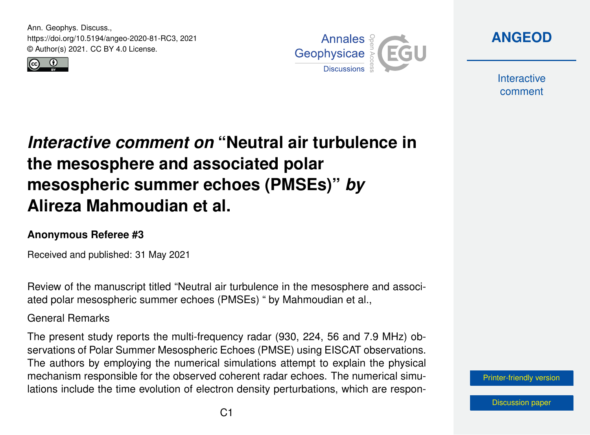Ann. Geophys. Discuss., https://doi.org/10.5194/angeo-2020-81-RC3, 2021 © Author(s) 2021. CC BY 4.0 License.





**[ANGEOD](https://angeo.copernicus.org/preprints/)**

**Interactive** comment

# *Interactive comment on* **"Neutral air turbulence in the mesosphere and associated polar mesospheric summer echoes (PMSEs)"** *by* **Alireza Mahmoudian et al.**

### **Anonymous Referee #3**

Received and published: 31 May 2021

Review of the manuscript titled "Neutral air turbulence in the mesosphere and associated polar mesospheric summer echoes (PMSEs) " by Mahmoudian et al.,

General Remarks

The present study reports the multi-frequency radar (930, 224, 56 and 7.9 MHz) observations of Polar Summer Mesospheric Echoes (PMSE) using EISCAT observations. The authors by employing the numerical simulations attempt to explain the physical mechanism responsible for the observed coherent radar echoes. The numerical simulations include the time evolution of electron density perturbations, which are respon-

[Printer-friendly version](https://angeo.copernicus.org/preprints/angeo-2020-81/angeo-2020-81-RC3-print.pdf)

[Discussion paper](https://angeo.copernicus.org/preprints/angeo-2020-81)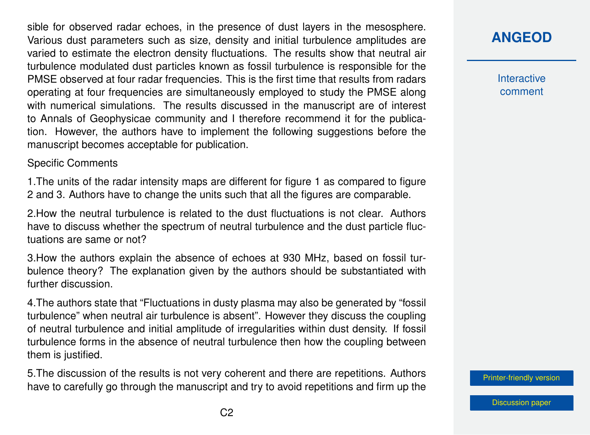sible for observed radar echoes, in the presence of dust layers in the mesosphere. Various dust parameters such as size, density and initial turbulence amplitudes are varied to estimate the electron density fluctuations. The results show that neutral air turbulence modulated dust particles known as fossil turbulence is responsible for the PMSE observed at four radar frequencies. This is the first time that results from radars operating at four frequencies are simultaneously employed to study the PMSE along with numerical simulations. The results discussed in the manuscript are of interest to Annals of Geophysicae community and I therefore recommend it for the publication. However, the authors have to implement the following suggestions before the manuscript becomes acceptable for publication.

#### Specific Comments

1.The units of the radar intensity maps are different for figure 1 as compared to figure 2 and 3. Authors have to change the units such that all the figures are comparable.

2.How the neutral turbulence is related to the dust fluctuations is not clear. Authors have to discuss whether the spectrum of neutral turbulence and the dust particle fluctuations are same or not?

3.How the authors explain the absence of echoes at 930 MHz, based on fossil turbulence theory? The explanation given by the authors should be substantiated with further discussion.

4.The authors state that "Fluctuations in dusty plasma may also be generated by "fossil turbulence" when neutral air turbulence is absent". However they discuss the coupling of neutral turbulence and initial amplitude of irregularities within dust density. If fossil turbulence forms in the absence of neutral turbulence then how the coupling between them is justified.

5.The discussion of the results is not very coherent and there are repetitions. Authors have to carefully go through the manuscript and try to avoid repetitions and firm up the

## **[ANGEOD](https://angeo.copernicus.org/preprints/)**

**Interactive** comment

[Printer-friendly version](https://angeo.copernicus.org/preprints/angeo-2020-81/angeo-2020-81-RC3-print.pdf)

[Discussion paper](https://angeo.copernicus.org/preprints/angeo-2020-81)